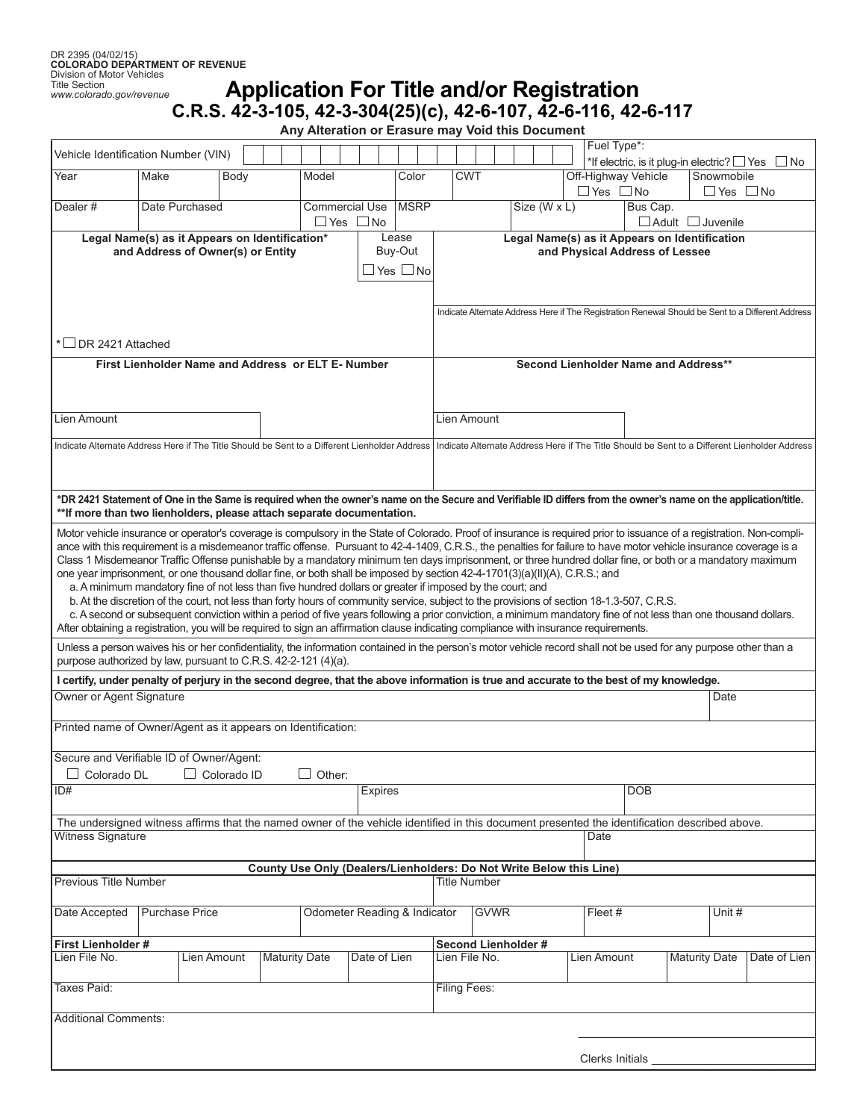## **Application For Title and/or Registration C.R.S. 42-3-105, 42-3-304(25)(c), 42-6-107, 42-6-116, 42-6-117**

**Any Alteration or Erasure may Void this Document**

| Vehicle Identification Number (VIN)                                                                                                                                                                                                                                                                                              |                       |             |      |                                                                     |       |                                               |                              |  |             |                                                                                                   |            |                     |  |              |  |  |  |             | Fuel Type*:                      |  |                              | *If electric, is it plug-in electric? $\Box$ Yes $\Box$ No                                    |
|----------------------------------------------------------------------------------------------------------------------------------------------------------------------------------------------------------------------------------------------------------------------------------------------------------------------------------|-----------------------|-------------|------|---------------------------------------------------------------------|-------|-----------------------------------------------|------------------------------|--|-------------|---------------------------------------------------------------------------------------------------|------------|---------------------|--|--------------|--|--|--|-------------|----------------------------------|--|------------------------------|-----------------------------------------------------------------------------------------------|
| Year                                                                                                                                                                                                                                                                                                                             | Make                  |             | Body |                                                                     | Model |                                               |                              |  | Color       |                                                                                                   | <b>CWT</b> |                     |  |              |  |  |  |             | Off-Highway Vehicle              |  | Snowmobile                   |                                                                                               |
| Dealer#                                                                                                                                                                                                                                                                                                                          | Date Purchased        |             |      |                                                                     |       |                                               | <b>Commercial Use</b>        |  | <b>MSRP</b> |                                                                                                   |            |                     |  | Size (W x L) |  |  |  |             | $\Box$ Yes $\Box$ No<br>Bus Cap. |  | $\Box$ Yes $\Box$ No         |                                                                                               |
|                                                                                                                                                                                                                                                                                                                                  |                       |             |      |                                                                     |       |                                               | ⊿ Yes ⊿ No                   |  |             |                                                                                                   |            |                     |  |              |  |  |  |             |                                  |  | $\Box$ Adult $\Box$ Juvenile |                                                                                               |
| Lease<br>Legal Name(s) as it Appears on Identification*                                                                                                                                                                                                                                                                          |                       |             |      |                                                                     |       | Legal Name(s) as it Appears on Identification |                              |  |             |                                                                                                   |            |                     |  |              |  |  |  |             |                                  |  |                              |                                                                                               |
| Buy-Out<br>and Address of Owner(s) or Entity                                                                                                                                                                                                                                                                                     |                       |             |      |                                                                     |       | and Physical Address of Lessee                |                              |  |             |                                                                                                   |            |                     |  |              |  |  |  |             |                                  |  |                              |                                                                                               |
| ∃Yes □No                                                                                                                                                                                                                                                                                                                         |                       |             |      |                                                                     |       |                                               |                              |  |             |                                                                                                   |            |                     |  |              |  |  |  |             |                                  |  |                              |                                                                                               |
|                                                                                                                                                                                                                                                                                                                                  |                       |             |      |                                                                     |       |                                               |                              |  |             |                                                                                                   |            |                     |  |              |  |  |  |             |                                  |  |                              |                                                                                               |
|                                                                                                                                                                                                                                                                                                                                  |                       |             |      |                                                                     |       |                                               |                              |  |             | Indicate Alternate Address Here if The Registration Renewal Should be Sent to a Different Address |            |                     |  |              |  |  |  |             |                                  |  |                              |                                                                                               |
| * □ DR 2421 Attached                                                                                                                                                                                                                                                                                                             |                       |             |      |                                                                     |       |                                               |                              |  |             |                                                                                                   |            |                     |  |              |  |  |  |             |                                  |  |                              |                                                                                               |
| First Lienholder Name and Address or ELT E-Number                                                                                                                                                                                                                                                                                |                       |             |      |                                                                     |       |                                               |                              |  |             |                                                                                                   |            |                     |  |              |  |  |  |             |                                  |  |                              |                                                                                               |
|                                                                                                                                                                                                                                                                                                                                  |                       |             |      |                                                                     |       |                                               |                              |  |             | Second Lienholder Name and Address**                                                              |            |                     |  |              |  |  |  |             |                                  |  |                              |                                                                                               |
|                                                                                                                                                                                                                                                                                                                                  |                       |             |      |                                                                     |       |                                               |                              |  |             |                                                                                                   |            |                     |  |              |  |  |  |             |                                  |  |                              |                                                                                               |
| Lien Amount                                                                                                                                                                                                                                                                                                                      |                       |             |      |                                                                     |       |                                               |                              |  |             | <b>Lien Amount</b>                                                                                |            |                     |  |              |  |  |  |             |                                  |  |                              |                                                                                               |
|                                                                                                                                                                                                                                                                                                                                  |                       |             |      |                                                                     |       |                                               |                              |  |             |                                                                                                   |            |                     |  |              |  |  |  |             |                                  |  |                              |                                                                                               |
| Indicate Alternate Address Here if The Title Should be Sent to a Different Lienholder Address                                                                                                                                                                                                                                    |                       |             |      |                                                                     |       |                                               |                              |  |             |                                                                                                   |            |                     |  |              |  |  |  |             |                                  |  |                              | Indicate Alternate Address Here if The Title Should be Sent to a Different Lienholder Address |
|                                                                                                                                                                                                                                                                                                                                  |                       |             |      |                                                                     |       |                                               |                              |  |             |                                                                                                   |            |                     |  |              |  |  |  |             |                                  |  |                              |                                                                                               |
| *DR 2421 Statement of One in the Same is required when the owner's name on the Secure and Verifiable ID differs from the owner's name on the application/title.                                                                                                                                                                  |                       |             |      |                                                                     |       |                                               |                              |  |             |                                                                                                   |            |                     |  |              |  |  |  |             |                                  |  |                              |                                                                                               |
| ** If more than two lienholders, please attach separate documentation.                                                                                                                                                                                                                                                           |                       |             |      |                                                                     |       |                                               |                              |  |             |                                                                                                   |            |                     |  |              |  |  |  |             |                                  |  |                              |                                                                                               |
| Motor vehicle insurance or operator's coverage is compulsory in the State of Colorado. Proof of insurance is required prior to issuance of a registration. Non-compli-                                                                                                                                                           |                       |             |      |                                                                     |       |                                               |                              |  |             |                                                                                                   |            |                     |  |              |  |  |  |             |                                  |  |                              |                                                                                               |
| ance with this requirement is a misdemeanor traffic offense. Pursuant to 42-4-1409, C.R.S., the penalties for failure to have motor vehicle insurance coverage is a<br>Class 1 Misdemeanor Traffic Offense punishable by a mandatory minimum ten days imprisonment, or three hundred dollar fine, or both or a mandatory maximum |                       |             |      |                                                                     |       |                                               |                              |  |             |                                                                                                   |            |                     |  |              |  |  |  |             |                                  |  |                              |                                                                                               |
| one year imprisonment, or one thousand dollar fine, or both shall be imposed by section 42-4-1701(3)(a)(II)(A), C.R.S.; and                                                                                                                                                                                                      |                       |             |      |                                                                     |       |                                               |                              |  |             |                                                                                                   |            |                     |  |              |  |  |  |             |                                  |  |                              |                                                                                               |
| a. A minimum mandatory fine of not less than five hundred dollars or greater if imposed by the court; and                                                                                                                                                                                                                        |                       |             |      |                                                                     |       |                                               |                              |  |             |                                                                                                   |            |                     |  |              |  |  |  |             |                                  |  |                              |                                                                                               |
| b. At the discretion of the court, not less than forty hours of community service, subject to the provisions of section 18-1.3-507, C.R.S.                                                                                                                                                                                       |                       |             |      |                                                                     |       |                                               |                              |  |             |                                                                                                   |            |                     |  |              |  |  |  |             |                                  |  |                              |                                                                                               |
| c. A second or subsequent conviction within a period of five years following a prior conviction, a minimum mandatory fine of not less than one thousand dollars.<br>After obtaining a registration, you will be required to sign an affirmation clause indicating compliance with insurance requirements.                        |                       |             |      |                                                                     |       |                                               |                              |  |             |                                                                                                   |            |                     |  |              |  |  |  |             |                                  |  |                              |                                                                                               |
| Unless a person waives his or her confidentiality, the information contained in the person's motor vehicle record shall not be used for any purpose other than a                                                                                                                                                                 |                       |             |      |                                                                     |       |                                               |                              |  |             |                                                                                                   |            |                     |  |              |  |  |  |             |                                  |  |                              |                                                                                               |
| purpose authorized by law, pursuant to C.R.S. 42-2-121 (4)(a).                                                                                                                                                                                                                                                                   |                       |             |      |                                                                     |       |                                               |                              |  |             |                                                                                                   |            |                     |  |              |  |  |  |             |                                  |  |                              |                                                                                               |
| I certify, under penalty of perjury in the second degree, that the above information is true and accurate to the best of my knowledge.                                                                                                                                                                                           |                       |             |      |                                                                     |       |                                               |                              |  |             |                                                                                                   |            |                     |  |              |  |  |  |             |                                  |  |                              |                                                                                               |
| Owner or Agent Signature<br>Date                                                                                                                                                                                                                                                                                                 |                       |             |      |                                                                     |       |                                               |                              |  |             |                                                                                                   |            |                     |  |              |  |  |  |             |                                  |  |                              |                                                                                               |
| Printed name of Owner/Agent as it appears on Identification:                                                                                                                                                                                                                                                                     |                       |             |      |                                                                     |       |                                               |                              |  |             |                                                                                                   |            |                     |  |              |  |  |  |             |                                  |  |                              |                                                                                               |
|                                                                                                                                                                                                                                                                                                                                  |                       |             |      |                                                                     |       |                                               |                              |  |             |                                                                                                   |            |                     |  |              |  |  |  |             |                                  |  |                              |                                                                                               |
| Secure and Verifiable ID of Owner/Agent:<br>Colorado ID<br>$\Box$ Other:                                                                                                                                                                                                                                                         |                       |             |      |                                                                     |       |                                               |                              |  |             |                                                                                                   |            |                     |  |              |  |  |  |             |                                  |  |                              |                                                                                               |
| $\Box$ Colorado DL<br>ID#                                                                                                                                                                                                                                                                                                        |                       |             |      |                                                                     |       |                                               | Expires                      |  |             |                                                                                                   |            |                     |  |              |  |  |  |             | <b>DOB</b>                       |  |                              |                                                                                               |
|                                                                                                                                                                                                                                                                                                                                  |                       |             |      |                                                                     |       |                                               |                              |  |             |                                                                                                   |            |                     |  |              |  |  |  |             |                                  |  |                              |                                                                                               |
| The undersigned witness affirms that the named owner of the vehicle identified in this document presented the identification described above.                                                                                                                                                                                    |                       |             |      |                                                                     |       |                                               |                              |  |             |                                                                                                   |            |                     |  |              |  |  |  |             |                                  |  |                              |                                                                                               |
| <b>Witness Signature</b>                                                                                                                                                                                                                                                                                                         |                       |             |      |                                                                     |       |                                               |                              |  |             |                                                                                                   |            |                     |  |              |  |  |  | Date        |                                  |  |                              |                                                                                               |
|                                                                                                                                                                                                                                                                                                                                  |                       |             |      | County Use Only (Dealers/Lienholders: Do Not Write Below this Line) |       |                                               |                              |  |             |                                                                                                   |            |                     |  |              |  |  |  |             |                                  |  |                              |                                                                                               |
| Previous Title Number                                                                                                                                                                                                                                                                                                            |                       |             |      |                                                                     |       |                                               |                              |  |             |                                                                                                   |            | <b>Title Number</b> |  |              |  |  |  |             |                                  |  |                              |                                                                                               |
|                                                                                                                                                                                                                                                                                                                                  |                       |             |      |                                                                     |       |                                               |                              |  |             |                                                                                                   |            |                     |  |              |  |  |  |             |                                  |  |                              |                                                                                               |
| Date Accepted                                                                                                                                                                                                                                                                                                                    | <b>Purchase Price</b> |             |      |                                                                     |       |                                               | Odometer Reading & Indicator |  |             |                                                                                                   |            | <b>GVWR</b>         |  |              |  |  |  | Fleet #     |                                  |  | Unit #                       |                                                                                               |
| <b>First Lienholder #</b>                                                                                                                                                                                                                                                                                                        |                       |             |      |                                                                     |       |                                               |                              |  |             |                                                                                                   |            | Second Lienholder # |  |              |  |  |  |             |                                  |  |                              |                                                                                               |
| Lien File No.                                                                                                                                                                                                                                                                                                                    |                       | Lien Amount |      | <b>Maturity Date</b>                                                |       |                                               | Date of Lien                 |  |             |                                                                                                   |            | Lien File No.       |  |              |  |  |  | Lien Amount |                                  |  | <b>Maturity Date</b>         | Date of Lien                                                                                  |
|                                                                                                                                                                                                                                                                                                                                  |                       |             |      |                                                                     |       |                                               |                              |  |             |                                                                                                   |            |                     |  |              |  |  |  |             |                                  |  |                              |                                                                                               |
| Taxes Paid:                                                                                                                                                                                                                                                                                                                      |                       |             |      |                                                                     |       |                                               |                              |  |             | <b>Filing Fees:</b>                                                                               |            |                     |  |              |  |  |  |             |                                  |  |                              |                                                                                               |
| <b>Additional Comments:</b>                                                                                                                                                                                                                                                                                                      |                       |             |      |                                                                     |       |                                               |                              |  |             |                                                                                                   |            |                     |  |              |  |  |  |             |                                  |  |                              |                                                                                               |
|                                                                                                                                                                                                                                                                                                                                  |                       |             |      |                                                                     |       |                                               |                              |  |             |                                                                                                   |            |                     |  |              |  |  |  |             |                                  |  |                              |                                                                                               |
|                                                                                                                                                                                                                                                                                                                                  |                       |             |      |                                                                     |       |                                               |                              |  |             |                                                                                                   |            |                     |  |              |  |  |  |             | Clerks Initials                  |  |                              |                                                                                               |
|                                                                                                                                                                                                                                                                                                                                  |                       |             |      |                                                                     |       |                                               |                              |  |             |                                                                                                   |            |                     |  |              |  |  |  |             |                                  |  |                              |                                                                                               |